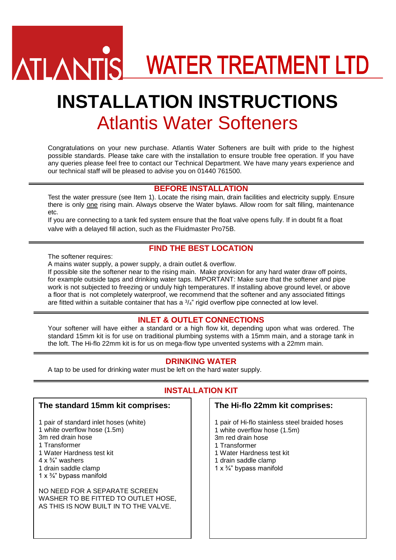# ATLANTIS WATER TREATMENT LTD

## **I INSTALLATION INSTRUCTIONS** Atlantis Water Softeners

Congratulations on your new purchase. Atlantis Water Softeners are built with pride to the highest possible standards. Please take care with the installation to ensure trouble free operation. If you have any queries please feel free to contact our Technical Department. We have many years experience and our technical staff will be pleased to advise you on 01440 761500.

#### **BEFORE INSTALLATION**

Test the water pressure (see Item 1). Locate the rising main, drain facilities and electricity supply. Ensure there is only one rising main. Always observe the Water bylaws. Allow room for salt filling, maintenance etc.

If you are connecting to a tank fed system ensure that the float valve opens fully. If in doubt fit a float valve with a delayed fill action, such as the Fluidmaster Pro75B.

#### **FIND THE BEST LOCATION**

The softener requires:

A mains water supply, a power supply, a drain outlet & overflow.

If possible site the softener near to the rising main. Make provision for any hard water draw off points, for example outside taps and drinking water taps. IMPORTANT: Make sure that the softener and pipe work is not subjected to freezing or unduly high temperatures. If installing above ground level, or above a floor that is not completely waterproof, we recommend that the softener and any associated fittings are fitted within a suitable container that has a  $\frac{3}{4}$ " rigid overflow pipe connected at low level.

#### **INLET & OUTLET CONNECTIONS**

Your softener will have either a standard or a high flow kit, depending upon what was ordered. The standard 15mm kit is for use on traditional plumbing systems with a 15mm main, and a storage tank in the loft. The Hi-flo 22mm kit is for us on mega-flow type unvented systems with a 22mm main.

#### **DRINKING WATER**

A tap to be used for drinking water must be left on the hard water supply.

#### **The standard 15mm kit comprises:**

1 pair of standard inlet hoses (white) 1 white overflow hose (1.5m) 3m red drain hose 1 Transformer

1 Water Hardness test kit

 $4 \times \frac{3}{4}$ " washers

1 drain saddle clamp

1 x  $\frac{3}{4}$ " bypass manifold

NO NEED FOR A SEPARATE SCREEN WASHER TO BE FITTED TO OUTLET HOSE, AS THIS IS NOW BUILT IN TO THE VALVE.

#### **INSTALLATION KIT**

#### **The Hi-flo 22mm kit comprises:**

1 pair of Hi-flo stainless steel braided hoses 1 white overflow hose (1.5m) 3m red drain hose

- 1 Transformer
- 1 Water Hardness test kit
- 1 drain saddle clamp
- 
- 1 x  $\frac{3}{4}$ " bypass manifold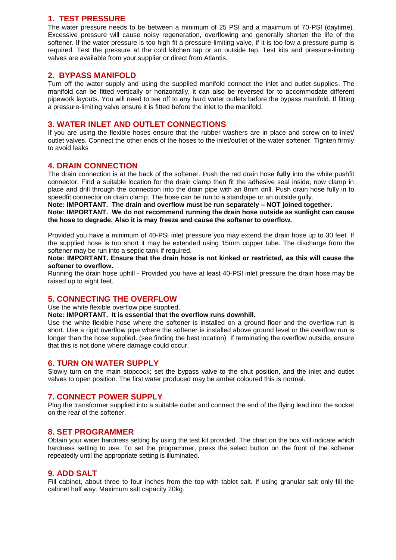#### **1. TEST PRESSURE**

The water pressure needs to be between a minimum of 25 PSI and a maximum of 70-PSI (daytime). Excessive pressure will cause noisy regeneration, overflowing and generally shorten the life of the softener. If the water pressure is too high fit a pressure-limiting valve, if it is too low a pressure pump is required. Test the pressure at the cold kitchen tap or an outside tap. Test kits and pressure-limiting valves are available from your supplier or direct from Atlantis.

#### **2. BYPASS MANIFOLD**

Turn off the water supply and using the supplied manifold connect the inlet and outlet supplies. The manifold can be fitted vertically or horizontally, it can also be reversed for to accommodate different pipework layouts. You will need to tee off to any hard water outlets before the bypass manifold. If fitting a pressure-limiting valve ensure it is fitted before the inlet to the manifold.

#### **3. WATER INLET AND OUTLET CONNECTIONS**

If you are using the flexible hoses ensure that the rubber washers are in place and screw on to inlet/ outlet valves. Connect the other ends of the hoses to the inlet/outlet of the water softener. Tighten firmly to avoid leaks

#### **4. DRAIN CONNECTION**

The drain connection is at the back of the softener. Push the red drain hose **fully** into the white pushfit connector. Find a suitable location for the drain clamp then fit the adhesive seal inside, now clamp in place and drill through the connection into the drain pipe with an 8mm drill. Push drain hose fully in to speedfit connector on drain clamp. The hose can be run to a standpipe or an outside gully.

**Note: IMPORTANT. The drain and overflow must be run separately – NOT joined together.** 

**Note: IMPORTANT. We do not recommend running the drain hose outside as sunlight can cause the hose to degrade. Also it is may freeze and cause the softener to overflow.** 

Provided you have a minimum of 40-PSI inlet pressure you may extend the drain hose up to 30 feet. If the supplied hose is too short it may be extended using 15mm copper tube. The discharge from the softener may be run into a septic tank if required.

**Note: IMPORTANT. Ensure that the drain hose is not kinked or restricted, as this will cause the softener to overflow.**

Running the drain hose uphill - Provided you have at least 40-PSI inlet pressure the drain hose may be raised up to eight feet.

#### **5. CONNECTING THE OVERFLOW**

Use the white flexible overflow pipe supplied,

#### **Note: IMPORTANT. It is essential that the overflow runs downhill.**

Use the white flexible hose where the softener is installed on a ground floor and the overflow run is short. Use a rigid overflow pipe where the softener is installed above ground level or the overflow run is longer than the hose supplied. (see finding the best location) If terminating the overflow outside, ensure that this is not done where damage could occur.

#### **6. TURN ON WATER SUPPLY**

Slowly turn on the main stopcock; set the bypass valve to the shut position, and the inlet and outlet valves to open position. The first water produced may be amber coloured this is normal.

#### **7. CONNECT POWER SUPPLY**

Plug the transformer supplied into a suitable outlet and connect the end of the flying lead into the socket on the rear of the softener.

#### **8. SET PROGRAMMER**

Obtain your water hardness setting by using the test kit provided. The chart on the box will indicate which hardness setting to use. To set the programmer, press the select button on the front of the softener repeatedly until the appropriate setting is illuminated.

#### **9. ADD SALT**

Fill cabinet, about three to four inches from the top with tablet salt. If using granular salt only fill the cabinet half way. Maximum salt capacity 20kg.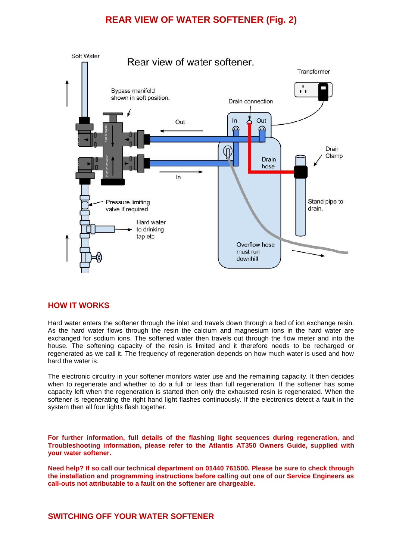#### **REAR VIEW OF WATER SOFTENER (Fig. 2)**



#### **HOW IT WORKS**

Hard water enters the softener through the inlet and travels down through a bed of ion exchange resin. As the hard water flows through the resin the calcium and magnesium ions in the hard water are exchanged for sodium ions. The softened water then travels out through the flow meter and into the house. The softening capacity of the resin is limited and it therefore needs to be recharged or regenerated as we call it. The frequency of regeneration depends on how much water is used and how hard the water is.

The electronic circuitry in your softener monitors water use and the remaining capacity. It then decides when to regenerate and whether to do a full or less than full regeneration. If the softener has some capacity left when the regeneration is started then only the exhausted resin is regenerated. When the softener is regenerating the right hand light flashes continuously. If the electronics detect a fault in the system then all four lights flash together.

**For further information, full details of the flashing light sequences during regeneration, and Troubleshooting information, please refer to the Atlantis AT350 Owners Guide, supplied with your water softener.**

**Need help? If so call our technical department on 01440 761500. Please be sure to check through the installation and programming instructions before calling out one of our Service Engineers as call-outs not attributable to a fault on the softener are chargeable.**

#### **SWITCHING OFF YOUR WATER SOFTENER**